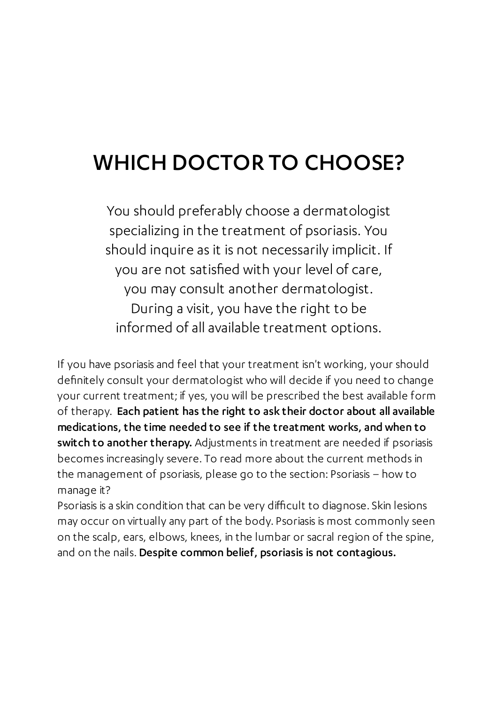## WHICH DOCTOR TO CHOOSE?

You should preferably choose a dermatologist specializing in the treatment of psoriasis. You should inquire as it is not necessarily implicit. If you are not satisfied with your level of care, you may consult another dermatologist. During a visit, you have the right to be informed of all available treatment options.

If you have psoriasis and feel that your treatment isn't working, your should definitely consult your dermatologist who will decide if you need to change your current treatment; if yes, you will be prescribed the best available form of therapy. Each patient has the right to ask their doctor about all available medications, the time needed to see if the treatment works, and when to switch to another therapy. Adjustments in treatment are needed if psoriasis becomes increasingly severe. To read more about the current methods in the management of psoriasis, please go to the section: Psoriasis – how to manage it?

Psoriasis is a skin condition that can be very difficult to diagnose. Skin lesions may occur on virtually any part of the body. Psoriasis is most commonly seen on the scalp, ears, elbows, knees, in the lumbar or sacral region of the spine, and on the nails. Despite common belief, psoriasis is not contagious.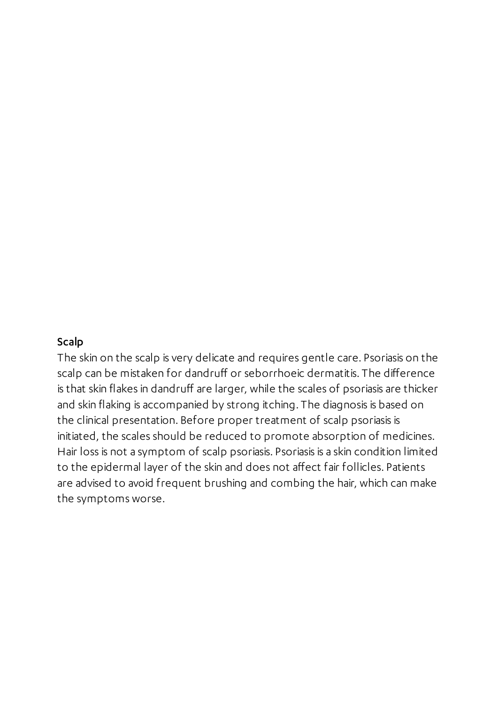## Scalp

The skin on the scalp is very delicate and requires gentle care. Psoriasis on the scalp can be mistaken for dandruff or seborrhoeic dermatitis. The difference is that skin flakes in dandruff are larger, while the scales of psoriasis are thicker and skin flaking is accompanied by strong itching. The diagnosis is based on the clinical presentation. Before proper treatment of scalp psoriasis is initiated, the scales should be reduced to promote absorption of medicines. Hair loss is not a symptom of scalp psoriasis. Psoriasis is a skin condition limited to the epidermal layer of the skin and does not affect fair follicles. Patients are advised to avoid frequent brushing and combing the hair, which can make the symptoms worse.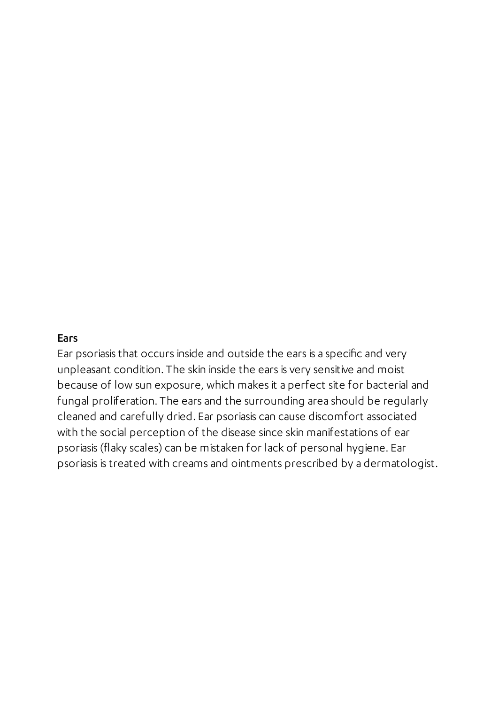## **Ears**

Ear psoriasis that occurs inside and outside the ears is a specific and very unpleasant condition. The skin inside the ears is very sensitive and moist because of low sun exposure, which makes it a perfect site for bacterial and fungal proliferation. The ears and the surrounding area should be regularly cleaned and carefully dried. Ear psoriasis can cause discomfort associated with the social perception of the disease since skin manifestations of ear psoriasis (flaky scales) can be mistaken for lack of personal hygiene. Ear psoriasis is treated with creams and ointments prescribed by a dermatologist.